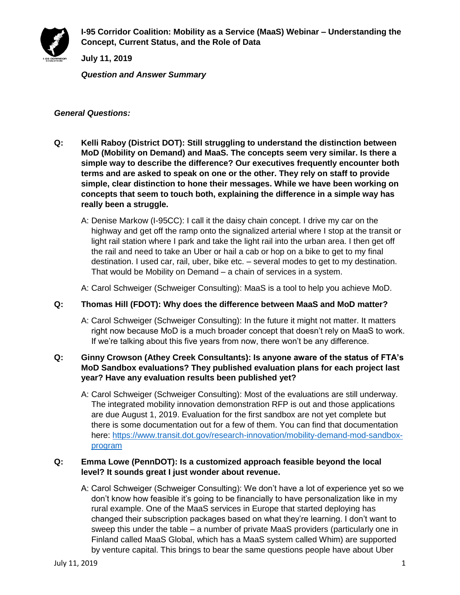

**I-95 Corridor Coalition: Mobility as a Service (MaaS) Webinar – Understanding the Concept, Current Status, and the Role of Data**

**July 11, 2019**

*Question and Answer Summary*

#### *General Questions:*

- **Q: Kelli Raboy (District DOT): Still struggling to understand the distinction between MoD (Mobility on Demand) and MaaS. The concepts seem very similar. Is there a simple way to describe the difference? Our executives frequently encounter both terms and are asked to speak on one or the other. They rely on staff to provide simple, clear distinction to hone their messages. While we have been working on concepts that seem to touch both, explaining the difference in a simple way has really been a struggle.**
	- A: Denise Markow (I-95CC): I call it the daisy chain concept. I drive my car on the highway and get off the ramp onto the signalized arterial where I stop at the transit or light rail station where I park and take the light rail into the urban area. I then get off the rail and need to take an Uber or hail a cab or hop on a bike to get to my final destination. I used car, rail, uber, bike etc. – several modes to get to my destination. That would be Mobility on Demand – a chain of services in a system.
	- A: Carol Schweiger (Schweiger Consulting): MaaS is a tool to help you achieve MoD.

#### **Q: Thomas Hill (FDOT): Why does the difference between MaaS and MoD matter?**

A: Carol Schweiger (Schweiger Consulting): In the future it might not matter. It matters right now because MoD is a much broader concept that doesn't rely on MaaS to work. If we're talking about this five years from now, there won't be any difference.

## **Q: Ginny Crowson (Athey Creek Consultants): Is anyone aware of the status of FTA's MoD Sandbox evaluations? They published evaluation plans for each project last year? Have any evaluation results been published yet?**

A: Carol Schweiger (Schweiger Consulting): Most of the evaluations are still underway. The integrated mobility innovation demonstration RFP is out and those applications are due August 1, 2019. Evaluation for the first sandbox are not yet complete but there is some documentation out for a few of them. You can find that documentation here: [https://www.transit.dot.gov/research-innovation/mobility-demand-mod-sandbox](https://www.transit.dot.gov/research-innovation/mobility-demand-mod-sandbox-program)[program](https://www.transit.dot.gov/research-innovation/mobility-demand-mod-sandbox-program)

#### **Q: Emma Lowe (PennDOT): Is a customized approach feasible beyond the local level? It sounds great I just wonder about revenue.**

A: Carol Schweiger (Schweiger Consulting): We don't have a lot of experience yet so we don't know how feasible it's going to be financially to have personalization like in my rural example. One of the MaaS services in Europe that started deploying has changed their subscription packages based on what they're learning. I don't want to sweep this under the table – a number of private MaaS providers (particularly one in Finland called MaaS Global, which has a MaaS system called Whim) are supported by venture capital. This brings to bear the same questions people have about Uber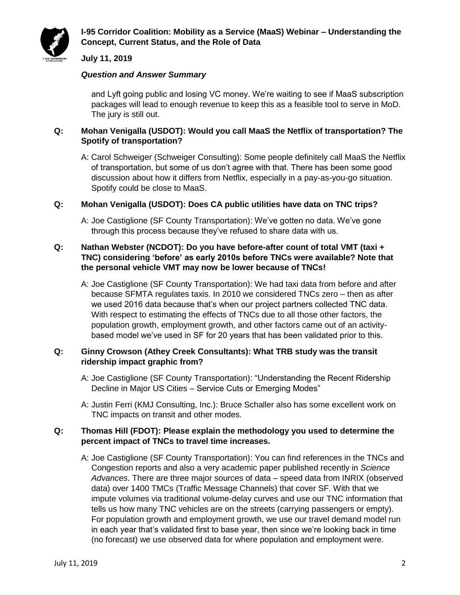

## **I-95 Corridor Coalition: Mobility as a Service (MaaS) Webinar – Understanding the Concept, Current Status, and the Role of Data**

## **July 11, 2019**

#### *Question and Answer Summary*

and Lyft going public and losing VC money. We're waiting to see if MaaS subscription packages will lead to enough revenue to keep this as a feasible tool to serve in MoD. The jury is still out.

## **Q: Mohan Venigalla (USDOT): Would you call MaaS the Netflix of transportation? The Spotify of transportation?**

A: Carol Schweiger (Schweiger Consulting): Some people definitely call MaaS the Netflix of transportation, but some of us don't agree with that. There has been some good discussion about how it differs from Netflix, especially in a pay-as-you-go situation. Spotify could be close to MaaS.

#### **Q: Mohan Venigalla (USDOT): Does CA public utilities have data on TNC trips?**

A: Joe Castiglione (SF County Transportation): We've gotten no data. We've gone through this process because they've refused to share data with us.

#### **Q: Nathan Webster (NCDOT): Do you have before-after count of total VMT (taxi + TNC) considering 'before' as early 2010s before TNCs were available? Note that the personal vehicle VMT may now be lower because of TNCs!**

A: Joe Castiglione (SF County Transportation): We had taxi data from before and after because SFMTA regulates taxis. In 2010 we considered TNCs zero – then as after we used 2016 data because that's when our project partners collected TNC data. With respect to estimating the effects of TNCs due to all those other factors, the population growth, employment growth, and other factors came out of an activitybased model we've used in SF for 20 years that has been validated prior to this.

#### **Q: Ginny Crowson (Athey Creek Consultants): What TRB study was the transit ridership impact graphic from?**

- A: Joe Castiglione (SF County Transportation): "Understanding the Recent Ridership Decline in Major US Cities – Service Cuts or Emerging Modes"
- A: Justin Ferri (KMJ Consulting, Inc.): Bruce Schaller also has some excellent work on TNC impacts on transit and other modes.

#### **Q: Thomas Hill (FDOT): Please explain the methodology you used to determine the percent impact of TNCs to travel time increases.**

A: Joe Castiglione (SF County Transportation): You can find references in the TNCs and Congestion reports and also a very academic paper published recently in *Science Advances*. There are three major sources of data – speed data from INRIX (observed data) over 1400 TMCs (Traffic Message Channels) that cover SF. With that we impute volumes via traditional volume-delay curves and use our TNC information that tells us how many TNC vehicles are on the streets (carrying passengers or empty). For population growth and employment growth, we use our travel demand model run in each year that's validated first to base year, then since we're looking back in time (no forecast) we use observed data for where population and employment were.